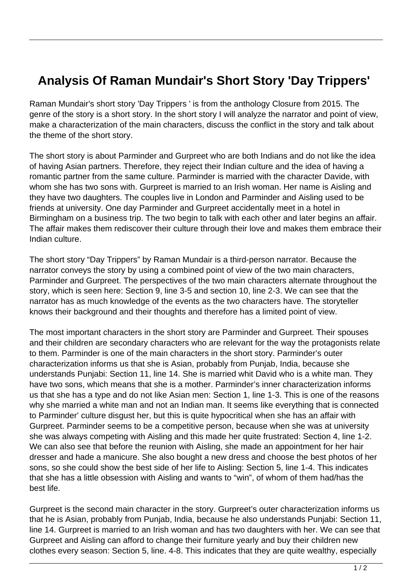## **Analysis Of Raman Mundair's Short Story 'Day Trippers'**

Raman Mundair's short story 'Day Trippers ' is from the anthology Closure from 2015. The genre of the story is a short story. In the short story I will analyze the narrator and point of view, make a characterization of the main characters, discuss the conflict in the story and talk about the theme of the short story.

The short story is about Parminder and Gurpreet who are both Indians and do not like the idea of having Asian partners. Therefore, they reject their Indian culture and the idea of having a romantic partner from the same culture. Parminder is married with the character Davide, with whom she has two sons with. Gurpreet is married to an Irish woman. Her name is Aisling and they have two daughters. The couples live in London and Parminder and Aisling used to be friends at university. One day Parminder and Gurpreet accidentally meet in a hotel in Birmingham on a business trip. The two begin to talk with each other and later begins an affair. The affair makes them rediscover their culture through their love and makes them embrace their Indian culture.

The short story "Day Trippers" by Raman Mundair is a third-person narrator. Because the narrator conveys the story by using a combined point of view of the two main characters, Parminder and Gurpreet. The perspectives of the two main characters alternate throughout the story, which is seen here: Section 9, line 3-5 and section 10, line 2-3. We can see that the narrator has as much knowledge of the events as the two characters have. The storyteller knows their background and their thoughts and therefore has a limited point of view.

The most important characters in the short story are Parminder and Gurpreet. Their spouses and their children are secondary characters who are relevant for the way the protagonists relate to them. Parminder is one of the main characters in the short story. Parminder's outer characterization informs us that she is Asian, probably from Punjab, India, because she understands Punjabi: Section 11, line 14. She is married whit David who is a white man. They have two sons, which means that she is a mother. Parminder's inner characterization informs us that she has a type and do not like Asian men: Section 1, line 1-3. This is one of the reasons why she married a white man and not an Indian man. It seems like everything that is connected to Parminder' culture disgust her, but this is quite hypocritical when she has an affair with Gurpreet. Parminder seems to be a competitive person, because when she was at university she was always competing with Aisling and this made her quite frustrated: Section 4, line 1-2. We can also see that before the reunion with Aisling, she made an appointment for her hair dresser and hade a manicure. She also bought a new dress and choose the best photos of her sons, so she could show the best side of her life to Aisling: Section 5, line 1-4. This indicates that she has a little obsession with Aisling and wants to "win", of whom of them had/has the best life.

Gurpreet is the second main character in the story. Gurpreet's outer characterization informs us that he is Asian, probably from Punjab, India, because he also understands Punjabi: Section 11, line 14. Gurpreet is married to an Irish woman and has two daughters with her. We can see that Gurpreet and Aisling can afford to change their furniture yearly and buy their children new clothes every season: Section 5, line. 4-8. This indicates that they are quite wealthy, especially